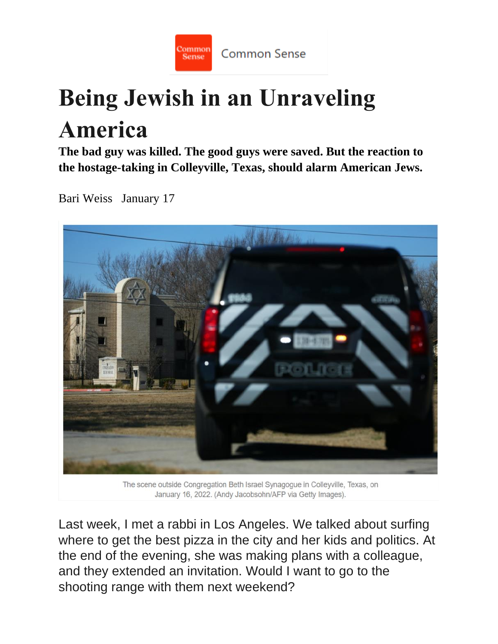

## **Being Jewish in an Unraveling America**

**The bad guy was killed. The good guys were saved. But the reaction to the hostage-taking in Colleyville, Texas, should alarm American Jews.**

Bari Weiss January 17



January 16, 2022. (Andy Jacobsohn/AFP via Getty Images).

Last week, I met a rabbi in Los Angeles. We talked about surfing where to get the best pizza in the city and her kids and politics. At the end of the evening, she was making plans with a colleague, and they extended an invitation. Would I want to go to the shooting range with them next weekend?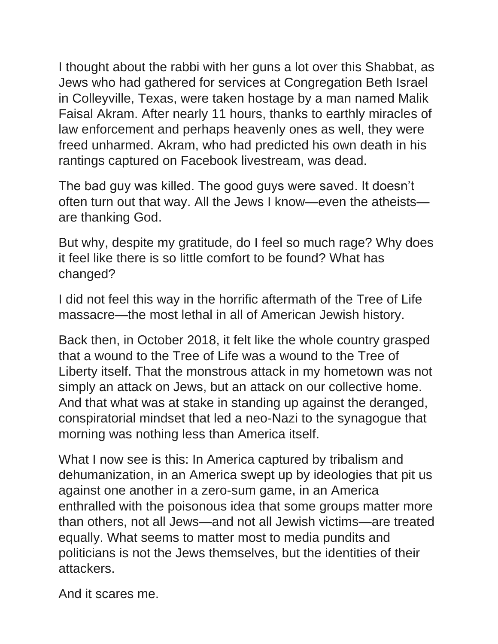I thought about the rabbi with her guns a lot over this Shabbat, as Jews who had gathered for services at Congregation Beth Israel in Colleyville, Texas, were taken hostage by a man named Malik Faisal Akram. After nearly 11 hours, thanks to earthly miracles of law enforcement and perhaps heavenly ones as well, they were freed unharmed. Akram, who had predicted his own death in his rantings captured on Facebook livestream, was dead.

The bad guy was killed. The good guys were saved. It doesn't often turn out that way. All the Jews I know—even the atheists are thanking God.

But why, despite my gratitude, do I feel so much rage? Why does it feel like there is so little comfort to be found? What has changed?

I did not feel this way in the horrific aftermath of the Tree of Life massacre—the most lethal in all of American Jewish history.

Back then, in October 2018, it felt like the whole country grasped that a wound to the Tree of Life was a wound to the Tree of Liberty itself. That the monstrous attack in my hometown was not simply an attack on Jews, but an attack on our collective home. And that what was at stake in standing up against the deranged, conspiratorial mindset that led a neo-Nazi to the synagogue that morning was nothing less than America itself.

What I now see is this: In America captured by tribalism and dehumanization, in an America swept up by ideologies that pit us against one another in a zero-sum game, in an America enthralled with the poisonous idea that some groups matter more than others, not all Jews—and not all Jewish victims—are treated equally. What seems to matter most to media pundits and politicians is not the Jews themselves, but the identities of their attackers.

And it scares me.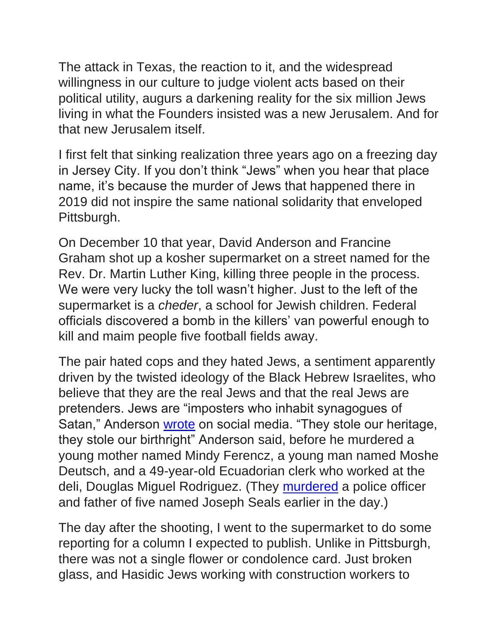The attack in Texas, the reaction to it, and the widespread willingness in our culture to judge violent acts based on their political utility, augurs a darkening reality for the six million Jews living in what the Founders insisted was a new Jerusalem. And for that new Jerusalem itself.

I first felt that sinking realization three years ago on a freezing day in Jersey City. If you don't think "Jews" when you hear that place name, it's because the murder of Jews that happened there in 2019 did not inspire the same national solidarity that enveloped Pittsburgh.

On December 10 that year, David Anderson and Francine Graham shot up a kosher supermarket on a street named for the Rev. Dr. Martin Luther King, killing three people in the process. We were very lucky the toll wasn't higher. Just to the left of the supermarket is a *cheder*, a school for Jewish children. Federal officials discovered a bomb in the killers' van powerful enough to kill and maim people five football fields away.

The pair hated cops and they hated Jews, a sentiment apparently driven by the twisted ideology of the Black Hebrew Israelites, who believe that they are the real Jews and that the real Jews are pretenders. Jews are "imposters who inhabit synagogues of Satan," Anderson [wrote](https://www.northjersey.com/story/news/hudson/2020/01/13/jersey-city-shooting-update-shooters-planned-greater-acts-mayhem/4454267002/) on social media. "They stole our heritage, they stole our birthright" Anderson said, before he murdered a young mother named Mindy Ferencz, a young man named Moshe Deutsch, and a 49-year-old Ecuadorian clerk who worked at the deli, Douglas Miguel Rodriguez. (They [murdered](https://www.nytimes.com/2019/12/15/nyregion/jersey-city-shooting-terrorism.html) a police officer and father of five named Joseph Seals earlier in the day.)

The day after the shooting, I went to the supermarket to do some reporting for a column I expected to publish. Unlike in Pittsburgh, there was not a single flower or condolence card. Just broken glass, and Hasidic Jews working with construction workers to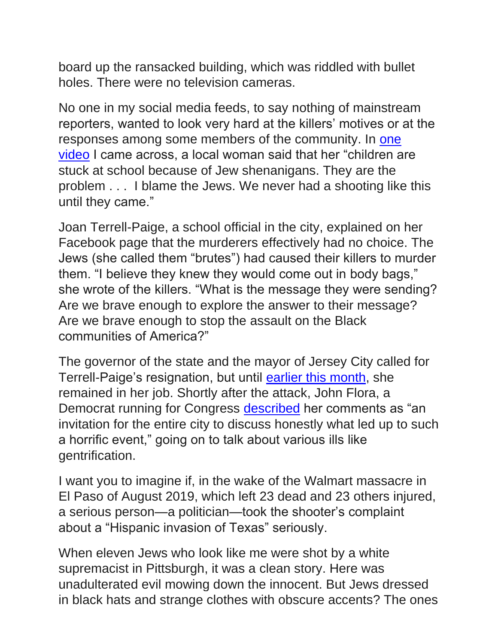board up the ransacked building, which was riddled with bullet holes. There were no television cameras.

No one in my social media feeds, to say nothing of mainstream reporters, wanted to look very hard at the killers' motives or at the responses among some members of the community. In [one](https://www.clevelandjewishnews.com/jns/new-jersey-residents-call-jersey-city-shooting-jew-shenanigans/article_1fa18cd0-caf7-5d22-a97b-929d622d5843.html)  [video](https://www.clevelandjewishnews.com/jns/new-jersey-residents-call-jersey-city-shooting-jew-shenanigans/article_1fa18cd0-caf7-5d22-a97b-929d622d5843.html) I came across, a local woman said that her "children are stuck at school because of Jew shenanigans. They are the problem . . . I blame the Jews. We never had a shooting like this until they came."

Joan Terrell-Paige, a school official in the city, explained on her Facebook page that the murderers effectively had no choice. The Jews (she called them "brutes") had caused their killers to murder them. "I believe they knew they would come out in body bags," she wrote of the killers. "What is the message they were sending? Are we brave enough to explore the answer to their message? Are we brave enough to stop the assault on the Black communities of America?"

The governor of the state and the mayor of Jersey City called for Terrell-Paige's resignation, but until [earlier this month,](https://ballotpedia.org/Joan_Terrell-Paige) she remained in her job. Shortly after the attack, John Flora, a Democrat running for Congress [described](https://www.insidernj.com/press-release/flora-challenges-leaders-converse/) her comments as "an invitation for the entire city to discuss honestly what led up to such a horrific event," going on to talk about various ills like gentrification.

I want you to imagine if, in the wake of the Walmart massacre in El Paso of August 2019, which left 23 dead and 23 others injured, a serious person—a politician—took the shooter's complaint about a "Hispanic invasion of Texas" seriously.

When eleven Jews who look like me were shot by a white supremacist in Pittsburgh, it was a clean story. Here was unadulterated evil mowing down the innocent. But Jews dressed in black hats and strange clothes with obscure accents? The ones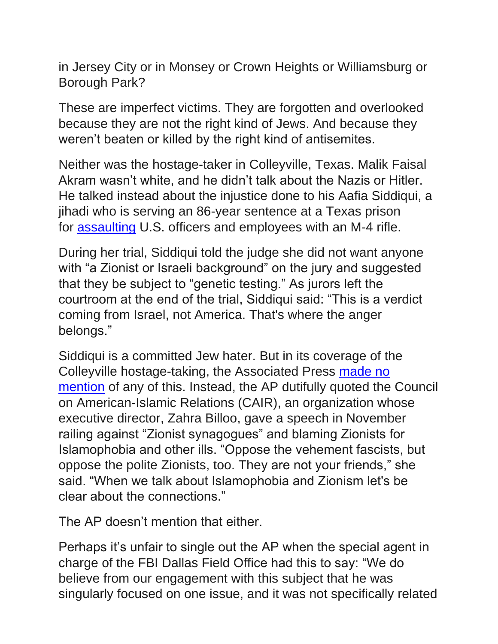in Jersey City or in Monsey or Crown Heights or Williamsburg or Borough Park?

These are imperfect victims. They are forgotten and overlooked because they are not the right kind of Jews. And because they weren't beaten or killed by the right kind of antisemites.

Neither was the hostage-taker in Colleyville, Texas. Malik Faisal Akram wasn't white, and he didn't talk about the Nazis or Hitler. He talked instead about the injustice done to his Aafia Siddiqui, a jihadi who is serving an 86-year sentence at a Texas prison for [assaulting](https://www.justice.gov/archive/opa/pr/2008/September/08-nsd-765.html) U.S. officers and employees with an M-4 rifle.

During her trial, Siddiqui told the judge she did not want anyone with "a Zionist or Israeli background" on the jury and suggested that they be subject to "genetic testing." As jurors left the courtroom at the end of the trial, Siddiqui said: "This is a verdict coming from Israel, not America. That's where the anger belongs."

Siddiqui is a committed Jew hater. But in its coverage of the Colleyville hostage-taking, the Associated Press [made no](https://twitter.com/CHSommers/status/1482590159925354499)  [mention](https://twitter.com/CHSommers/status/1482590159925354499) of any of this. Instead, the AP dutifully quoted the Council on American-Islamic Relations (CAIR), an organization whose executive director, Zahra Billoo, gave a speech in November railing against "Zionist synagogues" and blaming Zionists for Islamophobia and other ills. "Oppose the vehement fascists, but oppose the polite Zionists, too. They are not your friends," she said. "When we talk about Islamophobia and Zionism let's be clear about the connections."

The AP doesn't mention that either.

Perhaps it's unfair to single out the AP when the special agent in charge of the FBI Dallas Field Office had this to say: "We do believe from our engagement with this subject that he was singularly focused on one issue, and it was not specifically related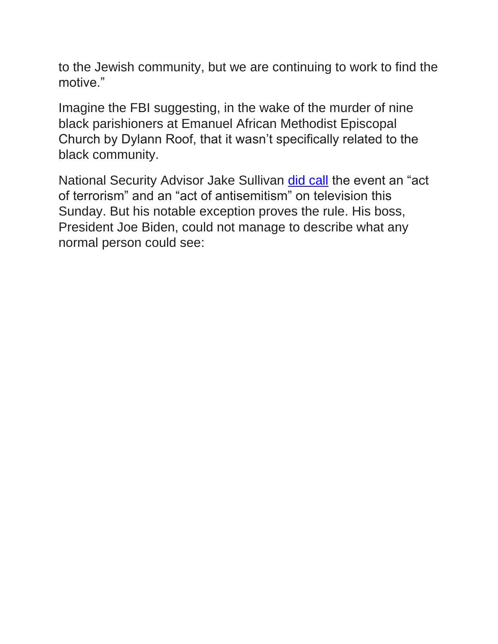to the Jewish community, but we are continuing to work to find the motive."

Imagine the FBI suggesting, in the wake of the murder of nine black parishioners at Emanuel African Methodist Episcopal Church by Dylann Roof, that it wasn't specifically related to the black community.

National Security Advisor Jake Sullivan [did call](https://twitter.com/NicoleSganga/status/1482780625060962309) the event an "act of terrorism" and an "act of antisemitism" on television this Sunday. But his notable exception proves the rule. His boss, President Joe Biden, could not manage to describe what any normal person could see: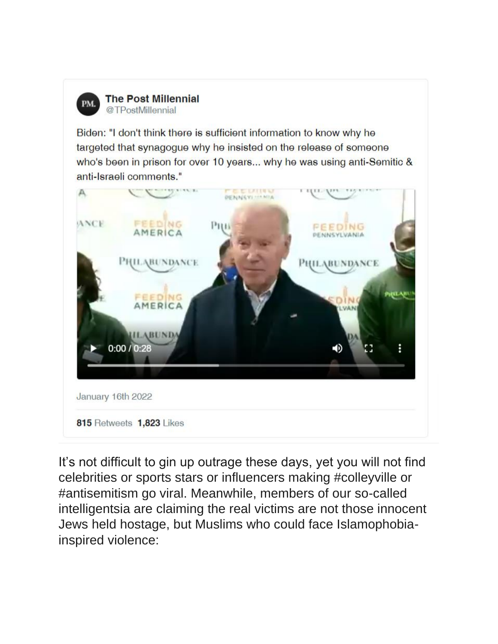

**The Post Millennial** @TPostMillennial

Biden: "I don't think there is sufficient information to know why he targeted that synagogue why he insisted on the release of someone who's been in prison for over 10 years... why he was using anti-Semitic & anti-Israeli comments."



It's not difficult to gin up outrage these days, yet you will not find celebrities or sports stars or influencers making #colleyville or #antisemitism go viral. Meanwhile, members of our so-called intelligentsia are claiming the real victims are not those innocent Jews held hostage, but Muslims who could face Islamophobiainspired violence: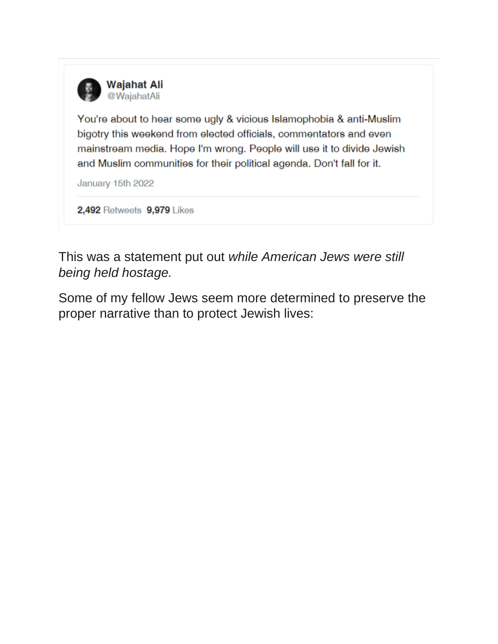

You're about to hear some ugly & vicious Islamophobia & anti-Muslim bigotry this weekend from elected officials, commentators and even mainstream media. Hope I'm wrong. People will use it to divide Jewish and Muslim communities for their political agenda. Don't fall for it.

January 15th 2022

2,492 Retweets 9,979 Likes

This was a statement put out *while American Jews were still being held hostage.*

Some of my fellow Jews seem more determined to preserve the proper narrative than to protect Jewish lives: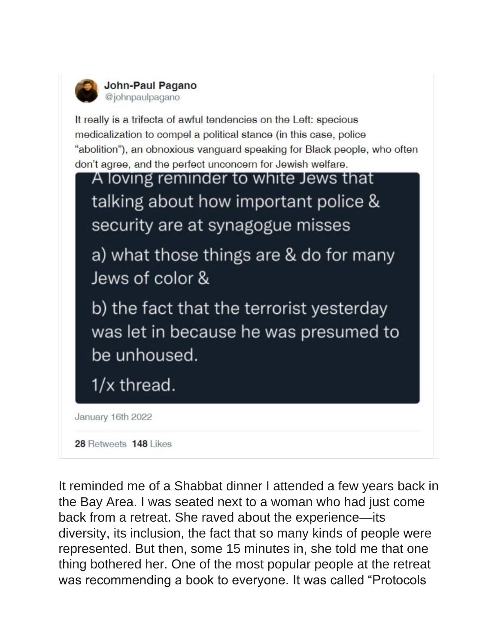

It really is a trifecta of awful tendencies on the Left: specious medicalization to compel a political stance (in this case, police "abolition"), an obnoxious vanguard speaking for Black people, who often don't agree, and the perfect unconcern for Jewish welfare.



28 Retweets 148 Likes

It reminded me of a Shabbat dinner I attended a few years back in the Bay Area. I was seated next to a woman who had just come back from a retreat. She raved about the experience—its diversity, its inclusion, the fact that so many kinds of people were represented. But then, some 15 minutes in, she told me that one thing bothered her. One of the most popular people at the retreat was recommending a book to everyone. It was called "Protocols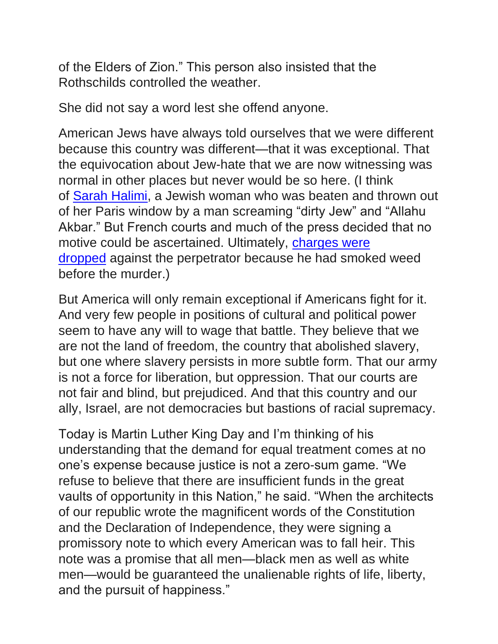of the Elders of Zion." This person also insisted that the Rothschilds controlled the weather.

She did not say a word lest she offend anyone.

American Jews have always told ourselves that we were different because this country was different—that it was exceptional. That the equivocation about Jew-hate that we are now witnessing was normal in other places but never would be so here. (I think of [Sarah Halimi,](https://www.nytimes.com/2019/12/05/opinion/politics/antisemitism-europe-corbyn.html) a Jewish woman who was beaten and thrown out of her Paris window by a man screaming "dirty Jew" and "Allahu Akbar." But French courts and much of the press decided that no motive could be ascertained. Ultimately, [charges were](https://bariweiss.substack.com/p/why-france-refuses-to-prosecute-an)  [dropped](https://bariweiss.substack.com/p/why-france-refuses-to-prosecute-an) against the perpetrator because he had smoked weed before the murder.)

But America will only remain exceptional if Americans fight for it. And very few people in positions of cultural and political power seem to have any will to wage that battle. They believe that we are not the land of freedom, the country that abolished slavery, but one where slavery persists in more subtle form. That our army is not a force for liberation, but oppression. That our courts are not fair and blind, but prejudiced. And that this country and our ally, Israel, are not democracies but bastions of racial supremacy.

Today is Martin Luther King Day and I'm thinking of his understanding that the demand for equal treatment comes at no one's expense because justice is not a zero-sum game. "We refuse to believe that there are insufficient funds in the great vaults of opportunity in this Nation," he said. "When the architects of our republic wrote the magnificent words of the Constitution and the Declaration of Independence, they were signing a promissory note to which every American was to fall heir. This note was a promise that all men—black men as well as white men—would be guaranteed the unalienable rights of life, liberty, and the pursuit of happiness."